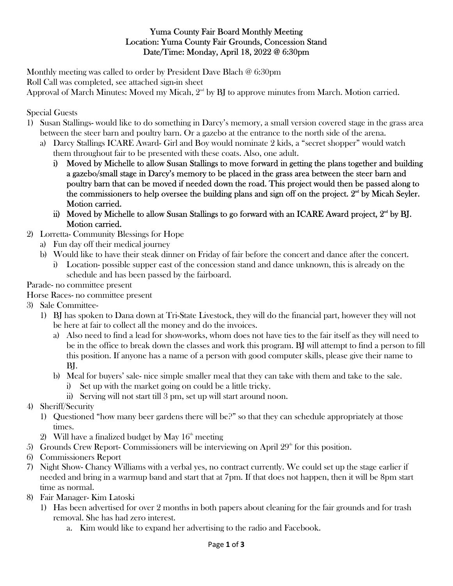#### Yuma County Fair Board Monthly Meeting Location: Yuma County Fair Grounds, Concession Stand Date/Time: Monday, April 18, 2022 @ 6:30pm

Monthly meeting was called to order by President Dave Blach @ 6:30pm Roll Call was completed, see attached sign-in sheet

Approval of March Minutes: Moved my Micah,  $2<sup>nd</sup>$  by BJ to approve minutes from March. Motion carried.

#### Special Guests

- 1) Susan Stallings- would like to do something in Darcy's memory, a small version covered stage in the grass area between the steer barn and poultry barn. Or a gazebo at the entrance to the north side of the arena.
	- a) Darcy Stallings ICARE Award- Girl and Boy would nominate 2 kids, a "secret shopper" would watch them throughout fair to be presented with these coats. Also, one adult.
		- i) Moved by Michelle to allow Susan Stallings to move forward in getting the plans together and building a gazebo/small stage in Darcy's memory to be placed in the grass area between the steer barn and poultry barn that can be moved if needed down the road. This project would then be passed along to the commissioners to help oversee the building plans and sign off on the project.  $2<sup>nd</sup>$  by Micah Seyler. Motion carried.
		- ii) Moved by Michelle to allow Susan Stallings to go forward with an ICARE Award project,  $2<sup>nd</sup>$  by BJ. Motion carried.
- 2) Lorretta- Community Blessings for Hope
	- a) Fun day off their medical journey
	- b) Would like to have their steak dinner on Friday of fair before the concert and dance after the concert.
		- i) Location- possible supper east of the concession stand and dance unknown, this is already on the schedule and has been passed by the fairboard.

Parade- no committee present

Horse Races- no committee present

- 3) Sale Committee-
	- 1) BJ has spoken to Dana down at Tri-State Livestock, they will do the financial part, however they will not be here at fair to collect all the money and do the invoices.
		- a) Also need to find a lead for show-works, whom does not have ties to the fair itself as they will need to be in the office to break down the classes and work this program. BJ will attempt to find a person to fill this position. If anyone has a name of a person with good computer skills, please give their name to BJ.
		- b) Meal for buyers' sale- nice simple smaller meal that they can take with them and take to the sale.
			- i) Set up with the market going on could be a little tricky.
			- ii) Serving will not start till 3 pm, set up will start around noon.
- 4) Sheriff/Security
	- 1) Questioned "how many beer gardens there will be?" so that they can schedule appropriately at those times.
	- 2) Will have a finalized budget by May  $16<sup>th</sup>$  meeting
- 5) Grounds Crew Report-Commissioners will be interviewing on April  $29<sup>th</sup>$  for this position.
- 6) Commissioners Report
- 7) Night Show- Chancy Williams with a verbal yes, no contract currently. We could set up the stage earlier if needed and bring in a warmup band and start that at 7pm. If that does not happen, then it will be 8pm start time as normal.
- 8) Fair Manager- Kim Latoski
	- 1) Has been advertised for over 2 months in both papers about cleaning for the fair grounds and for trash removal. She has had zero interest.
		- a. Kim would like to expand her advertising to the radio and Facebook.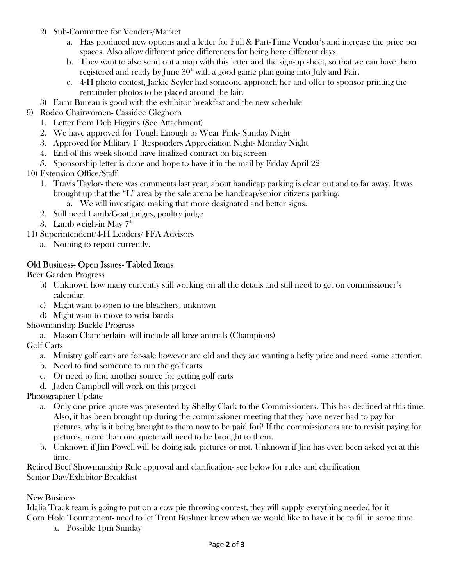- 2) Sub-Committee for Venders/Market
	- a. Has produced new options and a letter for Full & Part-Time Vendor's and increase the price per spaces. Also allow different price differences for being here different days.
	- b. They want to also send out a map with this letter and the sign-up sheet, so that we can have them registered and ready by June  $30<sup>th</sup>$  with a good game plan going into July and Fair.
	- c. 4-H photo contest, Jackie Seyler had someone approach her and offer to sponsor printing the remainder photos to be placed around the fair.
- 3) Farm Bureau is good with the exhibitor breakfast and the new schedule
- 9) Rodeo Chairwomen- Cassidee Gleghorn
	- 1. Letter from Deb Higgins (See Attachment)
	- 2. We have approved for Tough Enough to Wear Pink- Sunday Night
	- 3. Approved for Military  $1^*$  Responders Appreciation Night-Monday Night-
	- 4. End of this week should have finalized contract on big screen
	- 5. Sponsorship letter is done and hope to have it in the mail by Friday April 22
- 10) Extension Office/Staff
	- 1. Travis Taylor- there was comments last year, about handicap parking is clear out and to far away. It was brought up that the "L" area by the sale arena be handicap/senior citizens parking.
		- a. We will investigate making that more designated and better signs.
	- 2. Still need Lamb/Goat judges, poultry judge
	- 3. Lamb weigh-in May  $7<sup>th</sup>$
- 11) Superintendent/4-H Leaders/ FFA Advisors
	- a. Nothing to report currently.

### Old Business- Open Issues- Tabled Items

Beer Garden Progress

- b) Unknown how many currently still working on all the details and still need to get on commissioner's calendar.
- c) Might want to open to the bleachers, unknown
- d) Might want to move to wrist bands

Showmanship Buckle Progress

a. Mason Chamberlain- will include all large animals (Champions)

Golf Carts

- a. Ministry golf carts are for-sale however are old and they are wanting a hefty price and need some attention
- b. Need to find someone to run the golf carts
- c. Or need to find another source for getting golf carts
- d. Jaden Campbell will work on this project

Photographer Update

- a. Only one price quote was presented by Shelby Clark to the Commissioners. This has declined at this time. Also, it has been brought up during the commissioner meeting that they have never had to pay for pictures, why is it being brought to them now to be paid for? If the commissioners are to revisit paying for pictures, more than one quote will need to be brought to them.
- b. Unknown if Jim Powell will be doing sale pictures or not. Unknown if Jim has even been asked yet at this time.

Retired Beef Showmanship Rule approval and clarification- see below for rules and clarification Senior Day/Exhibitor Breakfast

#### New Business

Idalia Track team is going to put on a cow pie throwing contest, they will supply everything needed for it Corn Hole Tournament- need to let Trent Bushner know when we would like to have it be to fill in some time.

a. Possible 1pm Sunday